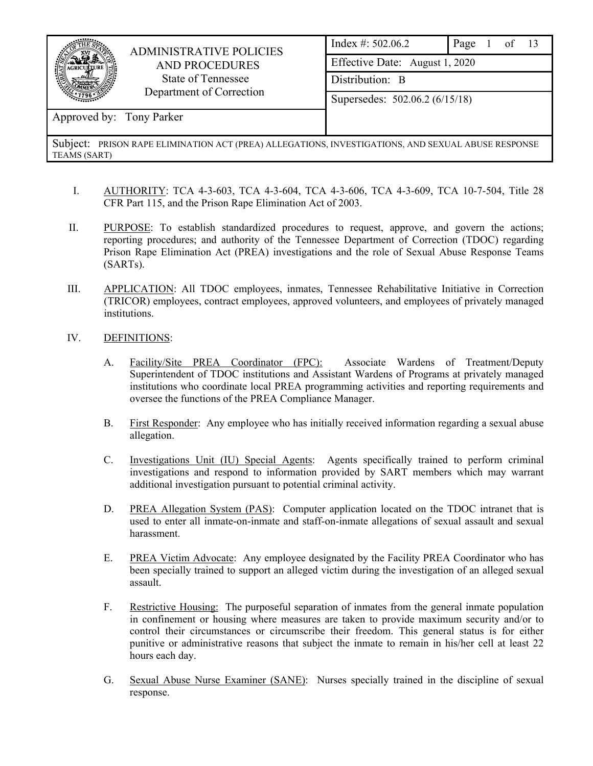

## ADMINISTRATIVE POLICIES AND PROCEDURES State of Tennessee Department of Correction

| Index #: 502.06.2              | Page 1 of $13$ |  |  |
|--------------------------------|----------------|--|--|
| Effective Date: August 1, 2020 |                |  |  |
| Distribution: B                |                |  |  |
| Supersedes: 502.06.2 (6/15/18) |                |  |  |

## Approved by: Tony Parker

- I. AUTHORITY: TCA 4-3-603, TCA 4-3-604, TCA 4-3-606, TCA 4-3-609, TCA 10-7-504, Title 28 CFR Part 115, and the Prison Rape Elimination Act of 2003.
- II. PURPOSE: To establish standardized procedures to request, approve, and govern the actions; reporting procedures; and authority of the Tennessee Department of Correction (TDOC) regarding Prison Rape Elimination Act (PREA) investigations and the role of Sexual Abuse Response Teams (SARTs).
- III. APPLICATION: All TDOC employees, inmates, Tennessee Rehabilitative Initiative in Correction (TRICOR) employees, contract employees, approved volunteers, and employees of privately managed institutions.
- IV. DEFINITIONS:
	- A. Facility/Site PREA Coordinator (FPC): Associate Wardens of Treatment/Deputy Superintendent of TDOC institutions and Assistant Wardens of Programs at privately managed institutions who coordinate local PREA programming activities and reporting requirements and oversee the functions of the PREA Compliance Manager.
	- B. First Responder: Any employee who has initially received information regarding a sexual abuse allegation.
	- C. Investigations Unit (IU) Special Agents: Agents specifically trained to perform criminal investigations and respond to information provided by SART members which may warrant additional investigation pursuant to potential criminal activity.
	- D. PREA Allegation System (PAS): Computer application located on the TDOC intranet that is used to enter all inmate-on-inmate and staff-on-inmate allegations of sexual assault and sexual harassment.
	- E. PREA Victim Advocate: Any employee designated by the Facility PREA Coordinator who has been specially trained to support an alleged victim during the investigation of an alleged sexual assault.
	- F. Restrictive Housing: The purposeful separation of inmates from the general inmate population in confinement or housing where measures are taken to provide maximum security and/or to control their circumstances or circumscribe their freedom. This general status is for either punitive or administrative reasons that subject the inmate to remain in his/her cell at least 22 hours each day.
	- G. Sexual Abuse Nurse Examiner (SANE): Nurses specially trained in the discipline of sexual response.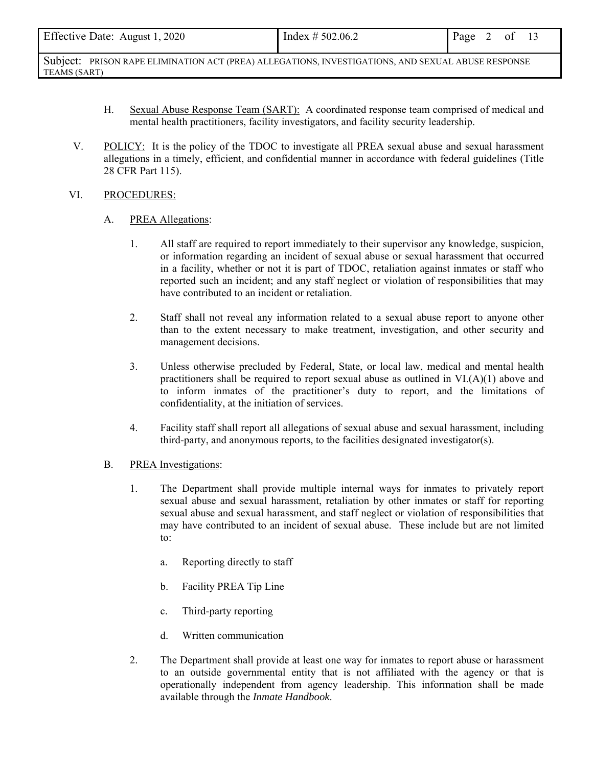| Effective Date: August 1, 2020<br>Index # 502.06.2 | Page 2 of 13 |
|----------------------------------------------------|--------------|
|----------------------------------------------------|--------------|

- H. Sexual Abuse Response Team (SART): A coordinated response team comprised of medical and mental health practitioners, facility investigators, and facility security leadership.
- V. POLICY: It is the policy of the TDOC to investigate all PREA sexual abuse and sexual harassment allegations in a timely, efficient, and confidential manner in accordance with federal guidelines (Title 28 CFR Part 115).

#### VI. PROCEDURES:

#### A. PREA Allegations:

- 1. All staff are required to report immediately to their supervisor any knowledge, suspicion, or information regarding an incident of sexual abuse or sexual harassment that occurred in a facility, whether or not it is part of TDOC, retaliation against inmates or staff who reported such an incident; and any staff neglect or violation of responsibilities that may have contributed to an incident or retaliation.
- 2. Staff shall not reveal any information related to a sexual abuse report to anyone other than to the extent necessary to make treatment, investigation, and other security and management decisions.
- 3. Unless otherwise precluded by Federal, State, or local law, medical and mental health practitioners shall be required to report sexual abuse as outlined in  $VI(A)(1)$  above and to inform inmates of the practitioner's duty to report, and the limitations of confidentiality, at the initiation of services.
- 4. Facility staff shall report all allegations of sexual abuse and sexual harassment, including third-party, and anonymous reports, to the facilities designated investigator(s).

## B. PREA Investigations:

- 1. The Department shall provide multiple internal ways for inmates to privately report sexual abuse and sexual harassment, retaliation by other inmates or staff for reporting sexual abuse and sexual harassment, and staff neglect or violation of responsibilities that may have contributed to an incident of sexual abuse. These include but are not limited to:
	- a. Reporting directly to staff
	- b. Facility PREA Tip Line
	- c. Third-party reporting
	- d. Written communication
- 2. The Department shall provide at least one way for inmates to report abuse or harassment to an outside governmental entity that is not affiliated with the agency or that is operationally independent from agency leadership. This information shall be made available through the *Inmate Handbook*.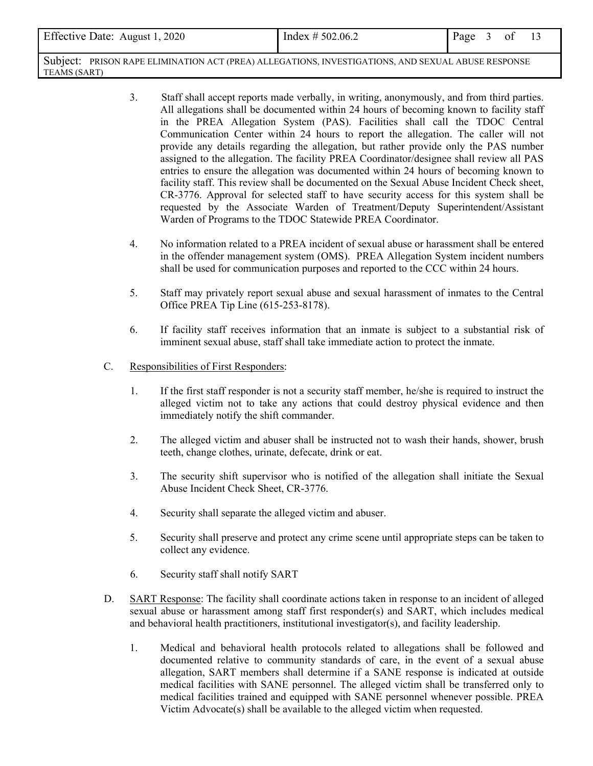| Effective Date: August 1, 2020                                                                     | Index $\# 502.06.2$ | Page 3 of |  |  |
|----------------------------------------------------------------------------------------------------|---------------------|-----------|--|--|
| Subject: PRISON RAPE ELIMINATION ACT (PREA) ALLEGATIONS, INVESTIGATIONS, AND SEXUAL ABUSE RESPONSE |                     |           |  |  |

3. Staff shall accept reports made verbally, in writing, anonymously, and from third parties. All allegations shall be documented within 24 hours of becoming known to facility staff in the PREA Allegation System (PAS). Facilities shall call the TDOC Central Communication Center within 24 hours to report the allegation. The caller will not provide any details regarding the allegation, but rather provide only the PAS number assigned to the allegation. The facility PREA Coordinator/designee shall review all PAS entries to ensure the allegation was documented within 24 hours of becoming known to facility staff. This review shall be documented on the Sexual Abuse Incident Check sheet, CR-3776. Approval for selected staff to have security access for this system shall be requested by the Associate Warden of Treatment/Deputy Superintendent/Assistant Warden of Programs to the TDOC Statewide PREA Coordinator.

- 4. No information related to a PREA incident of sexual abuse or harassment shall be entered in the offender management system (OMS). PREA Allegation System incident numbers shall be used for communication purposes and reported to the CCC within 24 hours.
- 5. Staff may privately report sexual abuse and sexual harassment of inmates to the Central Office PREA Tip Line (615-253-8178).
- 6. If facility staff receives information that an inmate is subject to a substantial risk of imminent sexual abuse, staff shall take immediate action to protect the inmate.
- C. Responsibilities of First Responders:

TEAMS (SART)

- 1. If the first staff responder is not a security staff member, he/she is required to instruct the alleged victim not to take any actions that could destroy physical evidence and then immediately notify the shift commander.
- 2. The alleged victim and abuser shall be instructed not to wash their hands, shower, brush teeth, change clothes, urinate, defecate, drink or eat.
- 3. The security shift supervisor who is notified of the allegation shall initiate the Sexual Abuse Incident Check Sheet, CR-3776.
- 4. Security shall separate the alleged victim and abuser.
- 5. Security shall preserve and protect any crime scene until appropriate steps can be taken to collect any evidence.
- 6. Security staff shall notify SART
- D. SART Response: The facility shall coordinate actions taken in response to an incident of alleged sexual abuse or harassment among staff first responder(s) and SART, which includes medical and behavioral health practitioners, institutional investigator(s), and facility leadership.
	- 1. Medical and behavioral health protocols related to allegations shall be followed and documented relative to community standards of care, in the event of a sexual abuse allegation, SART members shall determine if a SANE response is indicated at outside medical facilities with SANE personnel. The alleged victim shall be transferred only to medical facilities trained and equipped with SANE personnel whenever possible. PREA Victim Advocate(s) shall be available to the alleged victim when requested.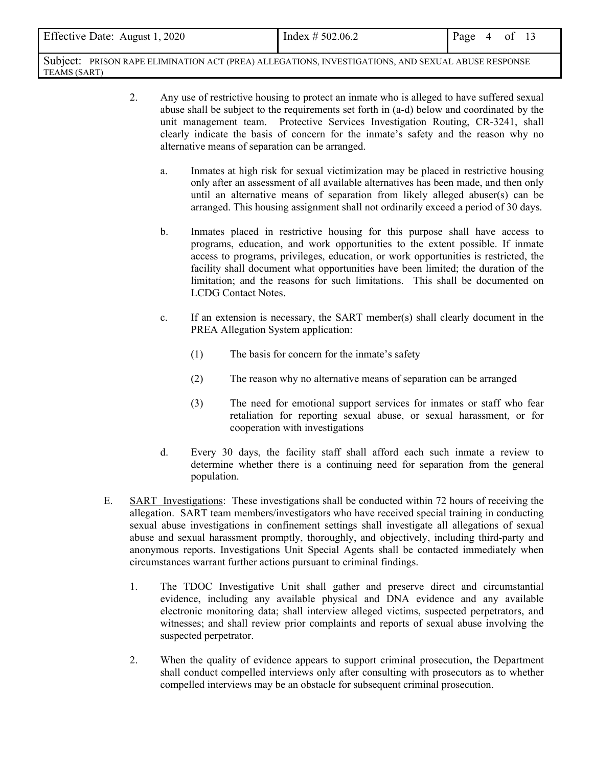| Effective Date: August 1, 2020                                                                     | Index $\# 502.06.2$ | Page $4$ of 13 |  |
|----------------------------------------------------------------------------------------------------|---------------------|----------------|--|
| Subject: PRISON RAPE ELIMINATION ACT (PREA) ALLEGATIONS, INVESTIGATIONS, AND SEXUAL ABUSE RESPONSE |                     |                |  |

TEAMS (SART)

- 2. Any use of restrictive housing to protect an inmate who is alleged to have suffered sexual abuse shall be subject to the requirements set forth in (a-d) below and coordinated by the unit management team. Protective Services Investigation Routing, CR-3241, shall clearly indicate the basis of concern for the inmate's safety and the reason why no alternative means of separation can be arranged.
	- a. Inmates at high risk for sexual victimization may be placed in restrictive housing only after an assessment of all available alternatives has been made, and then only until an alternative means of separation from likely alleged abuser(s) can be arranged. This housing assignment shall not ordinarily exceed a period of 30 days.
	- b. Inmates placed in restrictive housing for this purpose shall have access to programs, education, and work opportunities to the extent possible. If inmate access to programs, privileges, education, or work opportunities is restricted, the facility shall document what opportunities have been limited; the duration of the limitation; and the reasons for such limitations. This shall be documented on LCDG Contact Notes.
	- c. If an extension is necessary, the SART member(s) shall clearly document in the PREA Allegation System application:
		- (1) The basis for concern for the inmate's safety
		- (2) The reason why no alternative means of separation can be arranged
		- (3) The need for emotional support services for inmates or staff who fear retaliation for reporting sexual abuse, or sexual harassment, or for cooperation with investigations
	- d. Every 30 days, the facility staff shall afford each such inmate a review to determine whether there is a continuing need for separation from the general population.
- E. SART Investigations: These investigations shall be conducted within 72 hours of receiving the allegation. SART team members/investigators who have received special training in conducting sexual abuse investigations in confinement settings shall investigate all allegations of sexual abuse and sexual harassment promptly, thoroughly, and objectively, including third-party and anonymous reports. Investigations Unit Special Agents shall be contacted immediately when circumstances warrant further actions pursuant to criminal findings.
	- 1. The TDOC Investigative Unit shall gather and preserve direct and circumstantial evidence, including any available physical and DNA evidence and any available electronic monitoring data; shall interview alleged victims, suspected perpetrators, and witnesses; and shall review prior complaints and reports of sexual abuse involving the suspected perpetrator.
	- 2. When the quality of evidence appears to support criminal prosecution, the Department shall conduct compelled interviews only after consulting with prosecutors as to whether compelled interviews may be an obstacle for subsequent criminal prosecution.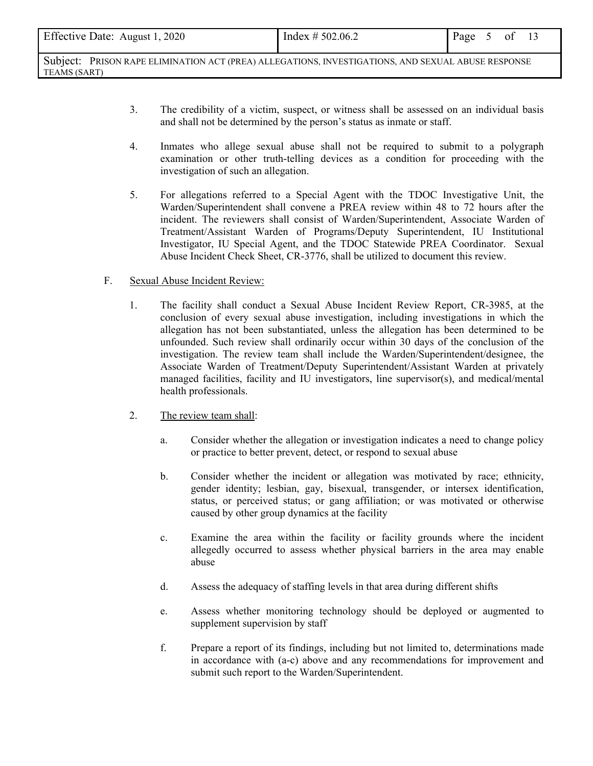| Effective Date: August 1, 2020<br>Index $\# 502.06.2$<br>Page<br>0 <sup>t</sup> |
|---------------------------------------------------------------------------------|
|---------------------------------------------------------------------------------|

- 3. The credibility of a victim, suspect, or witness shall be assessed on an individual basis and shall not be determined by the person's status as inmate or staff.
- 4. Inmates who allege sexual abuse shall not be required to submit to a polygraph examination or other truth-telling devices as a condition for proceeding with the investigation of such an allegation.
- 5. For allegations referred to a Special Agent with the TDOC Investigative Unit, the Warden/Superintendent shall convene a PREA review within 48 to 72 hours after the incident. The reviewers shall consist of Warden/Superintendent, Associate Warden of Treatment/Assistant Warden of Programs/Deputy Superintendent, IU Institutional Investigator, IU Special Agent, and the TDOC Statewide PREA Coordinator. Sexual Abuse Incident Check Sheet, CR-3776, shall be utilized to document this review.

#### F. Sexual Abuse Incident Review:

- 1. The facility shall conduct a Sexual Abuse Incident Review Report, CR-3985, at the conclusion of every sexual abuse investigation, including investigations in which the allegation has not been substantiated, unless the allegation has been determined to be unfounded. Such review shall ordinarily occur within 30 days of the conclusion of the investigation. The review team shall include the Warden/Superintendent/designee, the Associate Warden of Treatment/Deputy Superintendent/Assistant Warden at privately managed facilities, facility and IU investigators, line supervisor(s), and medical/mental health professionals.
- 2. The review team shall:
	- a. Consider whether the allegation or investigation indicates a need to change policy or practice to better prevent, detect, or respond to sexual abuse
	- b. Consider whether the incident or allegation was motivated by race; ethnicity, gender identity; lesbian, gay, bisexual, transgender, or intersex identification, status, or perceived status; or gang affiliation; or was motivated or otherwise caused by other group dynamics at the facility
	- c. Examine the area within the facility or facility grounds where the incident allegedly occurred to assess whether physical barriers in the area may enable abuse
	- d. Assess the adequacy of staffing levels in that area during different shifts
	- e. Assess whether monitoring technology should be deployed or augmented to supplement supervision by staff
	- f. Prepare a report of its findings, including but not limited to, determinations made in accordance with (a-c) above and any recommendations for improvement and submit such report to the Warden/Superintendent.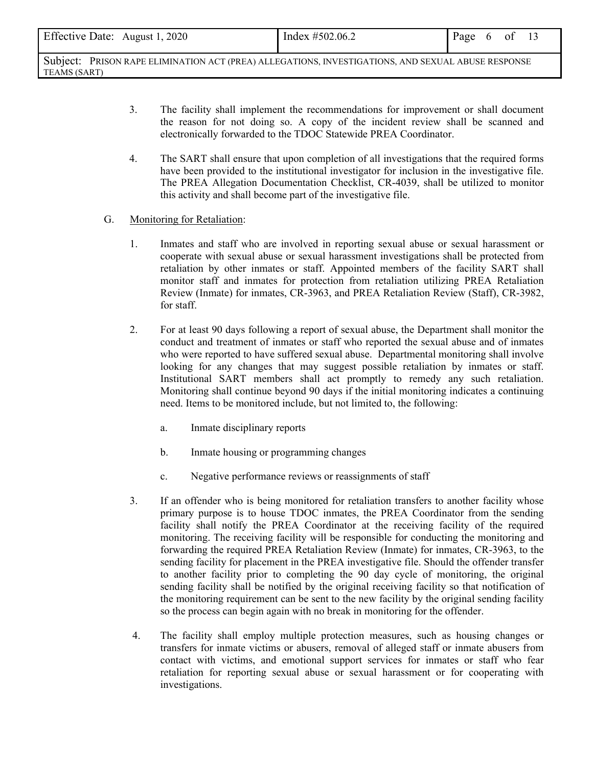| Effective Date: August 1, 2020 | Index #502.06.2 | Page | $\mathsf{h}$ | <sub>ot</sub> |  |
|--------------------------------|-----------------|------|--------------|---------------|--|
|                                |                 |      |              |               |  |

- 3. The facility shall implement the recommendations for improvement or shall document the reason for not doing so. A copy of the incident review shall be scanned and electronically forwarded to the TDOC Statewide PREA Coordinator.
- 4. The SART shall ensure that upon completion of all investigations that the required forms have been provided to the institutional investigator for inclusion in the investigative file. The PREA Allegation Documentation Checklist, CR-4039, shall be utilized to monitor this activity and shall become part of the investigative file.

#### G. Monitoring for Retaliation:

- 1. Inmates and staff who are involved in reporting sexual abuse or sexual harassment or cooperate with sexual abuse or sexual harassment investigations shall be protected from retaliation by other inmates or staff. Appointed members of the facility SART shall monitor staff and inmates for protection from retaliation utilizing PREA Retaliation Review (Inmate) for inmates, CR-3963, and PREA Retaliation Review (Staff), CR-3982, for staff.
- 2. For at least 90 days following a report of sexual abuse, the Department shall monitor the conduct and treatment of inmates or staff who reported the sexual abuse and of inmates who were reported to have suffered sexual abuse. Departmental monitoring shall involve looking for any changes that may suggest possible retaliation by inmates or staff. Institutional SART members shall act promptly to remedy any such retaliation. Monitoring shall continue beyond 90 days if the initial monitoring indicates a continuing need. Items to be monitored include, but not limited to, the following:
	- a. Inmate disciplinary reports
	- b. Inmate housing or programming changes
	- c. Negative performance reviews or reassignments of staff
- 3. If an offender who is being monitored for retaliation transfers to another facility whose primary purpose is to house TDOC inmates, the PREA Coordinator from the sending facility shall notify the PREA Coordinator at the receiving facility of the required monitoring. The receiving facility will be responsible for conducting the monitoring and forwarding the required PREA Retaliation Review (Inmate) for inmates, CR-3963, to the sending facility for placement in the PREA investigative file. Should the offender transfer to another facility prior to completing the 90 day cycle of monitoring, the original sending facility shall be notified by the original receiving facility so that notification of the monitoring requirement can be sent to the new facility by the original sending facility so the process can begin again with no break in monitoring for the offender.
- 4. The facility shall employ multiple protection measures, such as housing changes or transfers for inmate victims or abusers, removal of alleged staff or inmate abusers from contact with victims, and emotional support services for inmates or staff who fear retaliation for reporting sexual abuse or sexual harassment or for cooperating with investigations.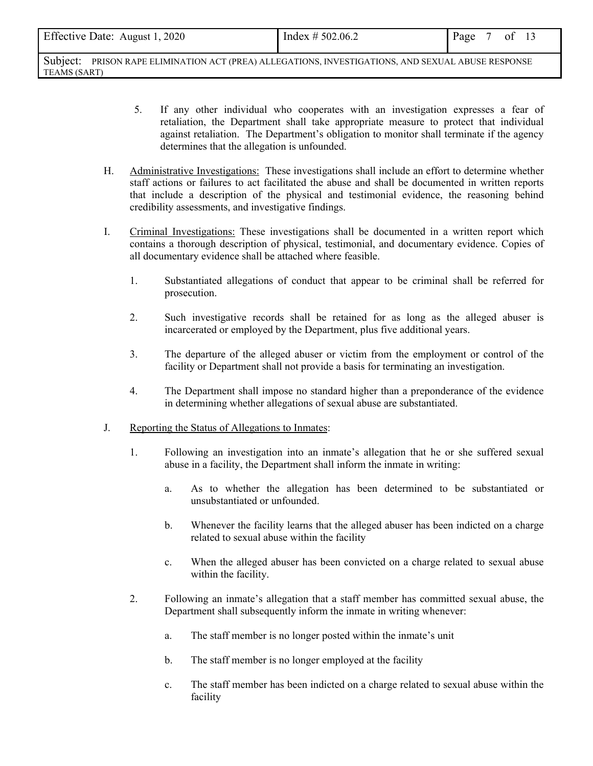| Page 7 of 13 | Effective Date: August 1, 2020 | Index $\# 502.06.2$ |  |  |  |
|--------------|--------------------------------|---------------------|--|--|--|
|--------------|--------------------------------|---------------------|--|--|--|

- 5. If any other individual who cooperates with an investigation expresses a fear of retaliation, the Department shall take appropriate measure to protect that individual against retaliation. The Department's obligation to monitor shall terminate if the agency determines that the allegation is unfounded.
- H. Administrative Investigations: These investigations shall include an effort to determine whether staff actions or failures to act facilitated the abuse and shall be documented in written reports that include a description of the physical and testimonial evidence, the reasoning behind credibility assessments, and investigative findings.
- I. Criminal Investigations: These investigations shall be documented in a written report which contains a thorough description of physical, testimonial, and documentary evidence. Copies of all documentary evidence shall be attached where feasible.
	- 1. Substantiated allegations of conduct that appear to be criminal shall be referred for prosecution.
	- 2. Such investigative records shall be retained for as long as the alleged abuser is incarcerated or employed by the Department, plus five additional years.
	- 3. The departure of the alleged abuser or victim from the employment or control of the facility or Department shall not provide a basis for terminating an investigation.
	- 4. The Department shall impose no standard higher than a preponderance of the evidence in determining whether allegations of sexual abuse are substantiated.
- J. Reporting the Status of Allegations to Inmates:
	- 1. Following an investigation into an inmate's allegation that he or she suffered sexual abuse in a facility, the Department shall inform the inmate in writing:
		- a. As to whether the allegation has been determined to be substantiated or unsubstantiated or unfounded.
		- b. Whenever the facility learns that the alleged abuser has been indicted on a charge related to sexual abuse within the facility
		- c. When the alleged abuser has been convicted on a charge related to sexual abuse within the facility.
	- 2. Following an inmate's allegation that a staff member has committed sexual abuse, the Department shall subsequently inform the inmate in writing whenever:
		- a. The staff member is no longer posted within the inmate's unit
		- b. The staff member is no longer employed at the facility
		- c. The staff member has been indicted on a charge related to sexual abuse within the facility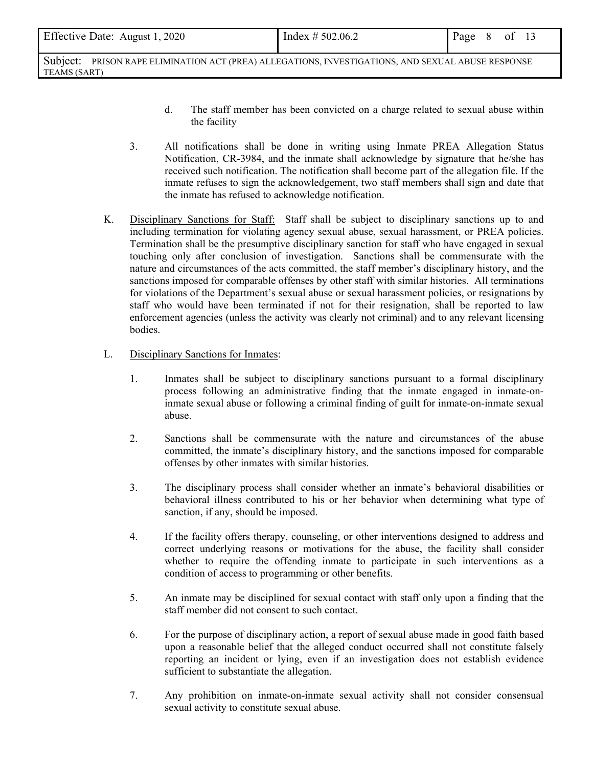| Effective Date: August 1, 2020 | Index $\# 502.06.2$ | Page 8 of 13 |  |  |
|--------------------------------|---------------------|--------------|--|--|
|                                |                     |              |  |  |

- d. The staff member has been convicted on a charge related to sexual abuse within the facility
- 3. All notifications shall be done in writing using Inmate PREA Allegation Status Notification, CR-3984, and the inmate shall acknowledge by signature that he/she has received such notification. The notification shall become part of the allegation file. If the inmate refuses to sign the acknowledgement, two staff members shall sign and date that the inmate has refused to acknowledge notification.
- K. Disciplinary Sanctions for Staff: Staff shall be subject to disciplinary sanctions up to and including termination for violating agency sexual abuse, sexual harassment, or PREA policies. Termination shall be the presumptive disciplinary sanction for staff who have engaged in sexual touching only after conclusion of investigation. Sanctions shall be commensurate with the nature and circumstances of the acts committed, the staff member's disciplinary history, and the sanctions imposed for comparable offenses by other staff with similar histories. All terminations for violations of the Department's sexual abuse or sexual harassment policies, or resignations by staff who would have been terminated if not for their resignation, shall be reported to law enforcement agencies (unless the activity was clearly not criminal) and to any relevant licensing bodies.
- L. Disciplinary Sanctions for Inmates:
	- 1. Inmates shall be subject to disciplinary sanctions pursuant to a formal disciplinary process following an administrative finding that the inmate engaged in inmate-oninmate sexual abuse or following a criminal finding of guilt for inmate-on-inmate sexual abuse.
	- 2. Sanctions shall be commensurate with the nature and circumstances of the abuse committed, the inmate's disciplinary history, and the sanctions imposed for comparable offenses by other inmates with similar histories.
	- 3. The disciplinary process shall consider whether an inmate's behavioral disabilities or behavioral illness contributed to his or her behavior when determining what type of sanction, if any, should be imposed.
	- 4. If the facility offers therapy, counseling, or other interventions designed to address and correct underlying reasons or motivations for the abuse, the facility shall consider whether to require the offending inmate to participate in such interventions as a condition of access to programming or other benefits.
	- 5. An inmate may be disciplined for sexual contact with staff only upon a finding that the staff member did not consent to such contact.
	- 6. For the purpose of disciplinary action, a report of sexual abuse made in good faith based upon a reasonable belief that the alleged conduct occurred shall not constitute falsely reporting an incident or lying, even if an investigation does not establish evidence sufficient to substantiate the allegation.
	- 7. Any prohibition on inmate-on-inmate sexual activity shall not consider consensual sexual activity to constitute sexual abuse.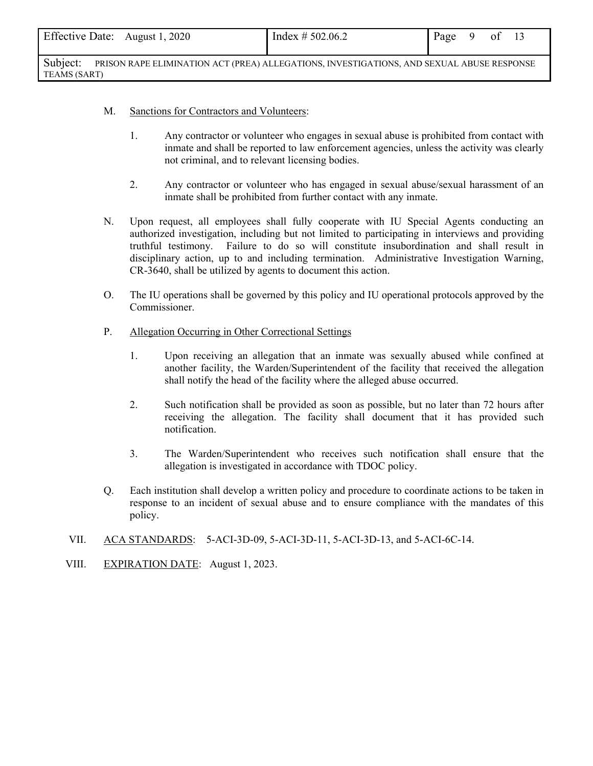| Effective Date: August 1, 2020 | Index $\# 502.06.2$ | Page | $9$ of |  |
|--------------------------------|---------------------|------|--------|--|
|                                |                     |      |        |  |

- M. Sanctions for Contractors and Volunteers:
	- 1. Any contractor or volunteer who engages in sexual abuse is prohibited from contact with inmate and shall be reported to law enforcement agencies, unless the activity was clearly not criminal, and to relevant licensing bodies.
	- 2. Any contractor or volunteer who has engaged in sexual abuse/sexual harassment of an inmate shall be prohibited from further contact with any inmate.
- N. Upon request, all employees shall fully cooperate with IU Special Agents conducting an authorized investigation, including but not limited to participating in interviews and providing truthful testimony. Failure to do so will constitute insubordination and shall result in disciplinary action, up to and including termination. Administrative Investigation Warning, CR-3640, shall be utilized by agents to document this action.
- O. The IU operations shall be governed by this policy and IU operational protocols approved by the Commissioner.
- P. Allegation Occurring in Other Correctional Settings
	- 1. Upon receiving an allegation that an inmate was sexually abused while confined at another facility, the Warden/Superintendent of the facility that received the allegation shall notify the head of the facility where the alleged abuse occurred.
	- 2. Such notification shall be provided as soon as possible, but no later than 72 hours after receiving the allegation. The facility shall document that it has provided such notification.
	- 3. The Warden/Superintendent who receives such notification shall ensure that the allegation is investigated in accordance with TDOC policy.
- Q. Each institution shall develop a written policy and procedure to coordinate actions to be taken in response to an incident of sexual abuse and to ensure compliance with the mandates of this policy.
- VII. ACA STANDARDS: 5-ACI-3D-09, 5-ACI-3D-11, 5-ACI-3D-13, and 5-ACI-6C-14.
- VIII. EXPIRATION DATE: August 1, 2023.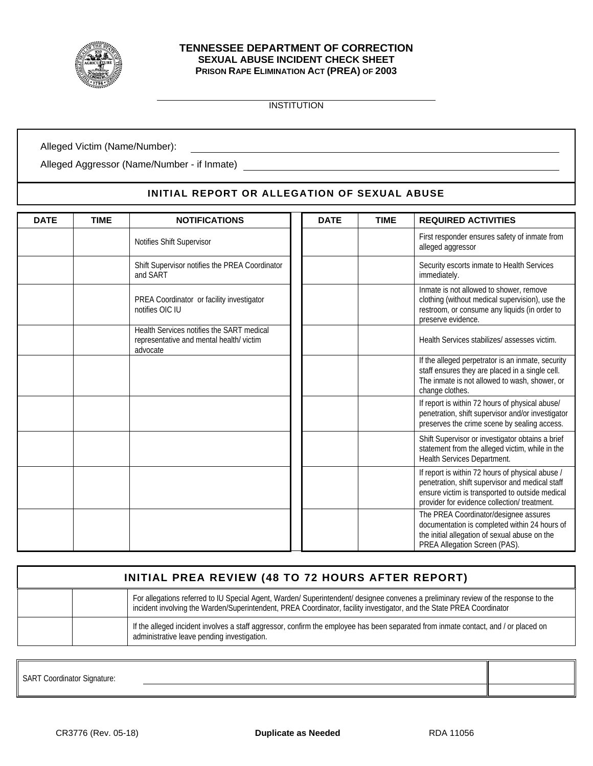

#### **TENNESSEE DEPARTMENT OF CORRECTION SEXUAL ABUSE INCIDENT CHECK SHEET PRISON RAPE ELIMINATION ACT (PREA) OF 2003**

INSTITUTION

<u> 1980 - Johann Barn, mars ann an t-Amhain Aonaich an t-Aonaich an t-Aonaich ann an t-Aonaich ann an t-Aonaich</u>

Alleged Victim (Name/Number):

Alleged Aggressor (Name/Number - if Inmate)

## **INITIAL REPORT OR ALLEGATION OF SEXUAL ABUSE**

| <b>DATE</b> | <b>TIME</b> | <b>NOTIFICATIONS</b>                                                                             | <b>DATE</b> | <b>TIME</b> | <b>REQUIRED ACTIVITIES</b>                                                                                                                                                                             |
|-------------|-------------|--------------------------------------------------------------------------------------------------|-------------|-------------|--------------------------------------------------------------------------------------------------------------------------------------------------------------------------------------------------------|
|             |             | Notifies Shift Supervisor                                                                        |             |             | First responder ensures safety of inmate from<br>alleged aggressor                                                                                                                                     |
|             |             | Shift Supervisor notifies the PREA Coordinator<br>and SART                                       |             |             | Security escorts inmate to Health Services<br>immediately.                                                                                                                                             |
|             |             | PREA Coordinator or facility investigator<br>notifies OIC IU                                     |             |             | Inmate is not allowed to shower, remove<br>clothing (without medical supervision), use the<br>restroom, or consume any liquids (in order to<br>preserve evidence.                                      |
|             |             | Health Services notifies the SART medical<br>representative and mental health/victim<br>advocate |             |             | Health Services stabilizes/ assesses victim.                                                                                                                                                           |
|             |             |                                                                                                  |             |             | If the alleged perpetrator is an inmate, security<br>staff ensures they are placed in a single cell.<br>The inmate is not allowed to wash, shower, or<br>change clothes.                               |
|             |             |                                                                                                  |             |             | If report is within 72 hours of physical abuse/<br>penetration, shift supervisor and/or investigator<br>preserves the crime scene by sealing access.                                                   |
|             |             |                                                                                                  |             |             | Shift Supervisor or investigator obtains a brief<br>statement from the alleged victim, while in the<br>Health Services Department.                                                                     |
|             |             |                                                                                                  |             |             | If report is within 72 hours of physical abuse /<br>penetration, shift supervisor and medical staff<br>ensure victim is transported to outside medical<br>provider for evidence collection/ treatment. |
|             |             |                                                                                                  |             |             | The PREA Coordinator/designee assures<br>documentation is completed within 24 hours of<br>the initial allegation of sexual abuse on the<br>PREA Allegation Screen (PAS).                               |

| INITIAL PREA REVIEW (48 TO 72 HOURS AFTER REPORT)                                                                                                                                                                                                            |
|--------------------------------------------------------------------------------------------------------------------------------------------------------------------------------------------------------------------------------------------------------------|
| For allegations referred to IU Special Agent, Warden/ Superintendent/ designee convenes a preliminary review of the response to the<br>incident involving the Warden/Superintendent, PREA Coordinator, facility investigator, and the State PREA Coordinator |
| If the alleged incident involves a staff aggressor, confirm the employee has been separated from inmate contact, and / or placed on<br>administrative leave pending investigation.                                                                           |

SART Coordinator Signature: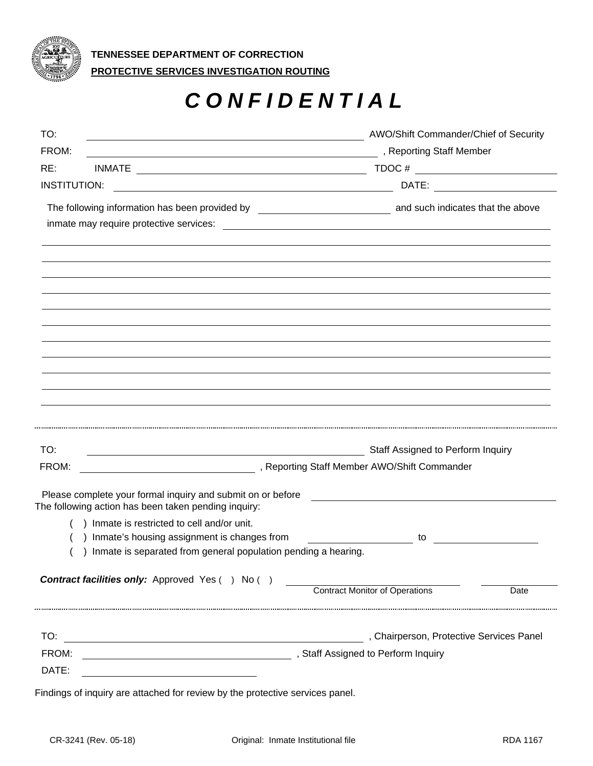

# *CONFIDENTIAL*

| TO:<br>FROM:               | Staff Assigned to Perform Inquiry<br>Please complete your formal inquiry and submit on or before<br>The following action has been taken pending inquiry:<br>) Inmate is restricted to cell and/or unit.<br>Inmate's housing assignment is changes from<br>Inmate is separated from general population pending a hearing.<br><b>Contract facilities only:</b> Approved Yes () No () | to<br><b>Contract Monitor of Operations</b><br>Date                                                                                                                                                                                                                                                                                                                |
|----------------------------|------------------------------------------------------------------------------------------------------------------------------------------------------------------------------------------------------------------------------------------------------------------------------------------------------------------------------------------------------------------------------------|--------------------------------------------------------------------------------------------------------------------------------------------------------------------------------------------------------------------------------------------------------------------------------------------------------------------------------------------------------------------|
|                            |                                                                                                                                                                                                                                                                                                                                                                                    |                                                                                                                                                                                                                                                                                                                                                                    |
|                            |                                                                                                                                                                                                                                                                                                                                                                                    |                                                                                                                                                                                                                                                                                                                                                                    |
|                            |                                                                                                                                                                                                                                                                                                                                                                                    |                                                                                                                                                                                                                                                                                                                                                                    |
|                            |                                                                                                                                                                                                                                                                                                                                                                                    |                                                                                                                                                                                                                                                                                                                                                                    |
|                            |                                                                                                                                                                                                                                                                                                                                                                                    |                                                                                                                                                                                                                                                                                                                                                                    |
|                            |                                                                                                                                                                                                                                                                                                                                                                                    |                                                                                                                                                                                                                                                                                                                                                                    |
|                            |                                                                                                                                                                                                                                                                                                                                                                                    |                                                                                                                                                                                                                                                                                                                                                                    |
|                            |                                                                                                                                                                                                                                                                                                                                                                                    |                                                                                                                                                                                                                                                                                                                                                                    |
|                            |                                                                                                                                                                                                                                                                                                                                                                                    |                                                                                                                                                                                                                                                                                                                                                                    |
|                            | The following information has been provided by __________________________________ and such indicates that the above                                                                                                                                                                                                                                                                |                                                                                                                                                                                                                                                                                                                                                                    |
|                            | <u> 1989 - Johann Stoff, deutscher Stoffen und der Stoffen und der Stoffen und der Stoffen und der Stoffen und der</u>                                                                                                                                                                                                                                                             |                                                                                                                                                                                                                                                                                                                                                                    |
|                            |                                                                                                                                                                                                                                                                                                                                                                                    | $\begin{picture}(150,10) \put(0,0){\vector(1,0){100}} \put(15,0){\vector(1,0){100}} \put(15,0){\vector(1,0){100}} \put(15,0){\vector(1,0){100}} \put(15,0){\vector(1,0){100}} \put(15,0){\vector(1,0){100}} \put(15,0){\vector(1,0){100}} \put(15,0){\vector(1,0){100}} \put(15,0){\vector(1,0){100}} \put(15,0){\vector(1,0){100}} \put(15,0){\vector(1,0){100}}$ |
| RE:<br><b>INSTITUTION:</b> |                                                                                                                                                                                                                                                                                                                                                                                    |                                                                                                                                                                                                                                                                                                                                                                    |
| FROM:                      | Department of the Staff Member (Contract of the Staff Member 2014). The Staff Member                                                                                                                                                                                                                                                                                               |                                                                                                                                                                                                                                                                                                                                                                    |

Findings of inquiry are attached for review by the protective services panel.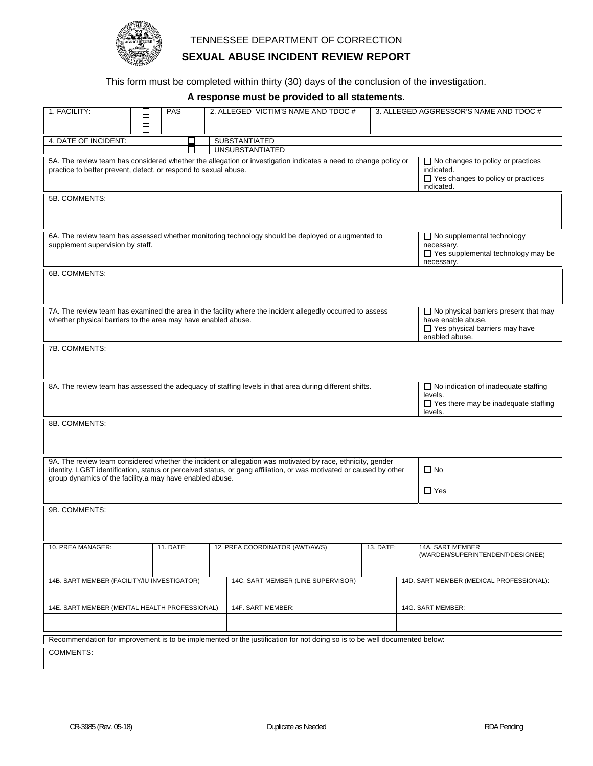

## **SEXUAL ABUSE INCIDENT REVIEW REPORT**

This form must be completed within thirty (30) days of the conclusion of the investigation.

## **A response must be provided to all statements.**

| 1. FACILITY:                                                                                                                                                                                                                                                                                                |                                                                                                                                                                  | <b>PAS</b> |  |                                         | 2. ALLEGED VICTIM'S NAME AND TDOC # |  |                                                      |  | 3. ALLEGED AGGRESSOR'S NAME AND TDOC #                                                                            |
|-------------------------------------------------------------------------------------------------------------------------------------------------------------------------------------------------------------------------------------------------------------------------------------------------------------|------------------------------------------------------------------------------------------------------------------------------------------------------------------|------------|--|-----------------------------------------|-------------------------------------|--|------------------------------------------------------|--|-------------------------------------------------------------------------------------------------------------------|
|                                                                                                                                                                                                                                                                                                             | $\Box$                                                                                                                                                           |            |  |                                         |                                     |  |                                                      |  |                                                                                                                   |
|                                                                                                                                                                                                                                                                                                             | $\mathsf{L}$                                                                                                                                                     |            |  |                                         |                                     |  |                                                      |  |                                                                                                                   |
| 4. DATE OF INCIDENT:                                                                                                                                                                                                                                                                                        |                                                                                                                                                                  | $\Box$     |  | SUBSTANTIATED<br><b>UNSUBSTANTIATED</b> |                                     |  |                                                      |  |                                                                                                                   |
| 5A. The review team has considered whether the allegation or investigation indicates a need to change policy or<br>practice to better prevent, detect, or respond to sexual abuse.                                                                                                                          |                                                                                                                                                                  |            |  |                                         |                                     |  |                                                      |  | $\Box$ No changes to policy or practices<br>indicated.<br>$\Box$ Yes changes to policy or practices<br>indicated. |
| 5B. COMMENTS:                                                                                                                                                                                                                                                                                               |                                                                                                                                                                  |            |  |                                         |                                     |  |                                                      |  |                                                                                                                   |
| 6A. The review team has assessed whether monitoring technology should be deployed or augmented to<br>supplement supervision by staff.                                                                                                                                                                       |                                                                                                                                                                  |            |  |                                         |                                     |  |                                                      |  | $\Box$ No supplemental technology<br>necessary.<br>□ Yes supplemental technology may be<br>necessary.             |
| 6B. COMMENTS:                                                                                                                                                                                                                                                                                               |                                                                                                                                                                  |            |  |                                         |                                     |  |                                                      |  |                                                                                                                   |
| 7A. The review team has examined the area in the facility where the incident allegedly occurred to assess<br>$\Box$ No physical barriers present that may<br>whether physical barriers to the area may have enabled abuse.<br>have enable abuse.<br>$\Box$ Yes physical barriers may have<br>enabled abuse. |                                                                                                                                                                  |            |  |                                         |                                     |  |                                                      |  |                                                                                                                   |
| 7B. COMMENTS:                                                                                                                                                                                                                                                                                               |                                                                                                                                                                  |            |  |                                         |                                     |  |                                                      |  |                                                                                                                   |
|                                                                                                                                                                                                                                                                                                             | 8A. The review team has assessed the adequacy of staffing levels in that area during different shifts.<br>$\Box$ No indication of inadequate staffing<br>levels. |            |  |                                         |                                     |  |                                                      |  | $\Box$ Yes there may be inadequate staffing<br>levels.                                                            |
| 8B. COMMENTS:                                                                                                                                                                                                                                                                                               |                                                                                                                                                                  |            |  |                                         |                                     |  |                                                      |  |                                                                                                                   |
| 9A. The review team considered whether the incident or allegation was motivated by race, ethnicity, gender<br>identity, LGBT identification, status or perceived status, or gang affiliation, or was motivated or caused by other<br>group dynamics of the facility a may have enabled abuse.               |                                                                                                                                                                  |            |  |                                         |                                     |  |                                                      |  | $\Box$ No<br>$\Box$ Yes                                                                                           |
| 9B. COMMENTS:                                                                                                                                                                                                                                                                                               |                                                                                                                                                                  |            |  |                                         |                                     |  |                                                      |  |                                                                                                                   |
| 10. PREA MANAGER:                                                                                                                                                                                                                                                                                           | 12. PREA COORDINATOR (AWT/AWS)<br>11. DATE:<br>13. DATE:                                                                                                         |            |  |                                         |                                     |  | 14A. SART MEMBER<br>(WARDEN/SUPERINTENDENT/DESIGNEE) |  |                                                                                                                   |
| 14B. SART MEMBER (FACILITY/IU INVESTIGATOR)                                                                                                                                                                                                                                                                 |                                                                                                                                                                  |            |  |                                         | 14C. SART MEMBER (LINE SUPERVISOR)  |  |                                                      |  | 14D. SART MEMBER (MEDICAL PROFESSIONAL):                                                                          |
| 14E. SART MEMBER (MENTAL HEALTH PROFESSIONAL)<br>14F. SART MEMBER:                                                                                                                                                                                                                                          |                                                                                                                                                                  |            |  |                                         |                                     |  | 14G. SART MEMBER:                                    |  |                                                                                                                   |
|                                                                                                                                                                                                                                                                                                             |                                                                                                                                                                  |            |  |                                         |                                     |  |                                                      |  |                                                                                                                   |
| Recommendation for improvement is to be implemented or the justification for not doing so is to be well documented below:                                                                                                                                                                                   |                                                                                                                                                                  |            |  |                                         |                                     |  |                                                      |  |                                                                                                                   |
| COMMENTS:                                                                                                                                                                                                                                                                                                   |                                                                                                                                                                  |            |  |                                         |                                     |  |                                                      |  |                                                                                                                   |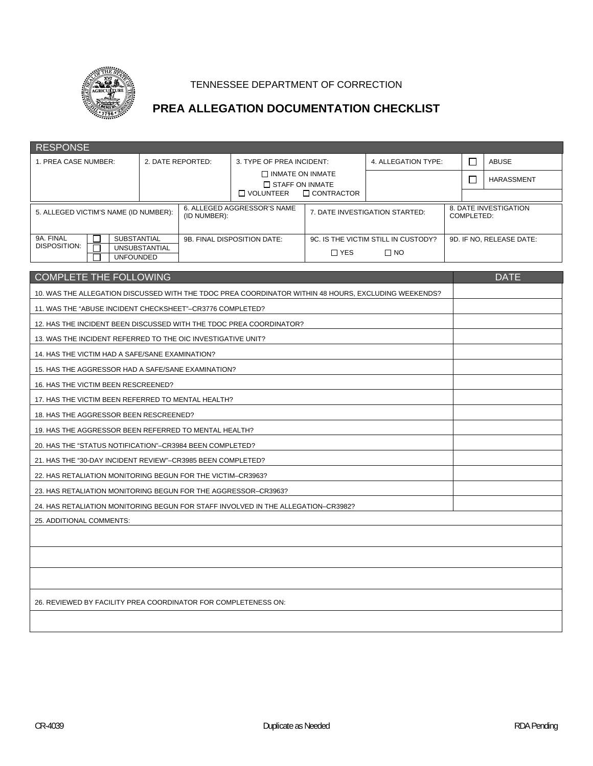

# **PREA ALLEGATION DOCUMENTATION CHECKLIST**

| <b>RESPONSE</b>                                                                                      |                   |              |                                                   |                           |                                     |              |                                     |  |  |
|------------------------------------------------------------------------------------------------------|-------------------|--------------|---------------------------------------------------|---------------------------|-------------------------------------|--------------|-------------------------------------|--|--|
| 1. PREA CASE NUMBER:                                                                                 | 2. DATE REPORTED: |              |                                                   | 3. TYPE OF PREA INCIDENT: | 4. ALLEGATION TYPE:                 | П            | <b>ABUSE</b>                        |  |  |
|                                                                                                      |                   |              | $\Box$ INMATE ON INMATE<br>$\Box$ STAFF ON INMATE |                           |                                     | $\mathsf{L}$ | HARASSMENT                          |  |  |
|                                                                                                      |                   |              | $\Box$ VOLUNTEER                                  | $\Box$ CONTRACTOR         |                                     |              |                                     |  |  |
| 5. ALLEGED VICTIM'S NAME (ID NUMBER):                                                                |                   | (ID NUMBER): | 6. ALLEGED AGGRESSOR'S NAME                       |                           | 7. DATE INVESTIGATION STARTED:      |              | 8. DATE INVESTIGATION<br>COMPLETED: |  |  |
|                                                                                                      |                   |              |                                                   |                           |                                     |              |                                     |  |  |
| 9A. FINAL<br>SUBSTANTIAL<br>DISPOSITION:                                                             | UNSUBSTANTIAL     |              | 9B. FINAL DISPOSITION DATE:                       |                           | 9C. IS THE VICTIM STILL IN CUSTODY? |              | 9D. IF NO, RELEASE DATE:            |  |  |
| <b>UNFOUNDED</b>                                                                                     |                   |              |                                                   | $\Box$ YES                | $\Box$ NO                           |              |                                     |  |  |
| <b>COMPLETE THE FOLLOWING</b>                                                                        |                   |              |                                                   |                           |                                     |              | <b>DATE</b>                         |  |  |
| 10. WAS THE ALLEGATION DISCUSSED WITH THE TDOC PREA COORDINATOR WITHIN 48 HOURS, EXCLUDING WEEKENDS? |                   |              |                                                   |                           |                                     |              |                                     |  |  |
| 11. WAS THE "ABUSE INCIDENT CHECKSHEET"-CR3776 COMPLETED?                                            |                   |              |                                                   |                           |                                     |              |                                     |  |  |
| 12. HAS THE INCIDENT BEEN DISCUSSED WITH THE TDOC PREA COORDINATOR?                                  |                   |              |                                                   |                           |                                     |              |                                     |  |  |
| 13. WAS THE INCIDENT REFERRED TO THE OIC INVESTIGATIVE UNIT?                                         |                   |              |                                                   |                           |                                     |              |                                     |  |  |
| 14. HAS THE VICTIM HAD A SAFE/SANE EXAMINATION?                                                      |                   |              |                                                   |                           |                                     |              |                                     |  |  |
| 15. HAS THE AGGRESSOR HAD A SAFE/SANE EXAMINATION?                                                   |                   |              |                                                   |                           |                                     |              |                                     |  |  |
| 16. HAS THE VICTIM BEEN RESCREENED?                                                                  |                   |              |                                                   |                           |                                     |              |                                     |  |  |
| 17. HAS THE VICTIM BEEN REFERRED TO MENTAL HEALTH?                                                   |                   |              |                                                   |                           |                                     |              |                                     |  |  |
| 18. HAS THE AGGRESSOR BEEN RESCREENED?                                                               |                   |              |                                                   |                           |                                     |              |                                     |  |  |
| 19. HAS THE AGGRESSOR BEEN REFERRED TO MENTAL HEALTH?                                                |                   |              |                                                   |                           |                                     |              |                                     |  |  |
| 20. HAS THE "STATUS NOTIFICATION"-CR3984 BEEN COMPLETED?                                             |                   |              |                                                   |                           |                                     |              |                                     |  |  |
| 21. HAS THE "30-DAY INCIDENT REVIEW"-CR3985 BEEN COMPLETED?                                          |                   |              |                                                   |                           |                                     |              |                                     |  |  |
| 22. HAS RETALIATION MONITORING BEGUN FOR THE VICTIM-CR3963?                                          |                   |              |                                                   |                           |                                     |              |                                     |  |  |
| 23. HAS RETALIATION MONITORING BEGUN FOR THE AGGRESSOR-CR3963?                                       |                   |              |                                                   |                           |                                     |              |                                     |  |  |
| 24. HAS RETALIATION MONITORING BEGUN FOR STAFF INVOLVED IN THE ALLEGATION-CR3982?                    |                   |              |                                                   |                           |                                     |              |                                     |  |  |
| 25. ADDITIONAL COMMENTS:                                                                             |                   |              |                                                   |                           |                                     |              |                                     |  |  |
|                                                                                                      |                   |              |                                                   |                           |                                     |              |                                     |  |  |
|                                                                                                      |                   |              |                                                   |                           |                                     |              |                                     |  |  |
|                                                                                                      |                   |              |                                                   |                           |                                     |              |                                     |  |  |
| 26. REVIEWED BY FACILITY PREA COORDINATOR FOR COMPLETENESS ON:                                       |                   |              |                                                   |                           |                                     |              |                                     |  |  |
|                                                                                                      |                   |              |                                                   |                           |                                     |              |                                     |  |  |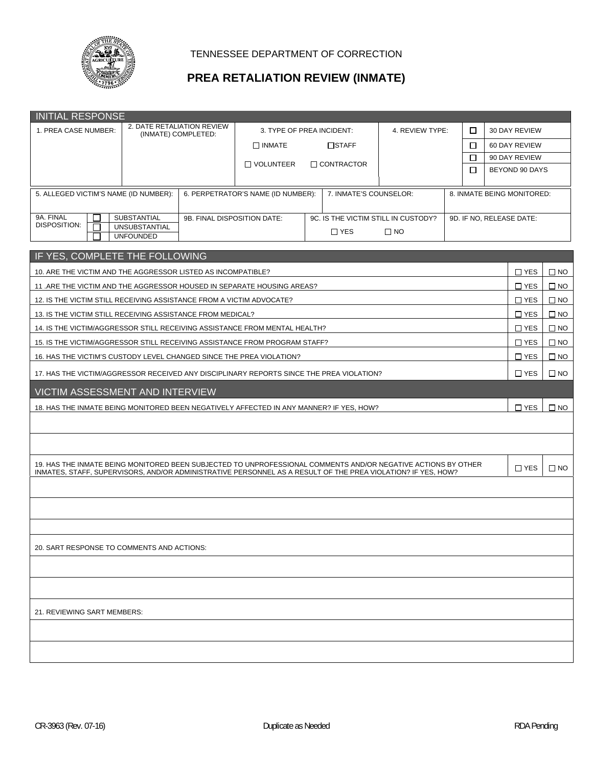

## **PREA RETALIATION REVIEW (INMATE)**

| <b>INITIAL RESPONSE</b>                                                                                                                                                                                                       |                                                   |                             |                                                                 |  |                        |                      |  |            |                |                            |              |
|-------------------------------------------------------------------------------------------------------------------------------------------------------------------------------------------------------------------------------|---------------------------------------------------|-----------------------------|-----------------------------------------------------------------|--|------------------------|----------------------|--|------------|----------------|----------------------------|--------------|
| 1. PREA CASE NUMBER:                                                                                                                                                                                                          | 2. DATE RETALIATION REVIEW<br>(INMATE) COMPLETED: |                             | 3. TYPE OF PREA INCIDENT:                                       |  |                        | 4. REVIEW TYPE:<br>□ |  |            | 30 DAY REVIEW  |                            |              |
|                                                                                                                                                                                                                               |                                                   |                             | $\Box$ INMATE                                                   |  | □STAFF                 |                      |  | □          |                | 60 DAY REVIEW              |              |
|                                                                                                                                                                                                                               |                                                   |                             | □ VOLUNTEER                                                     |  | $\Box$ CONTRACTOR      |                      |  | □          | 90 DAY REVIEW  |                            |              |
|                                                                                                                                                                                                                               |                                                   |                             |                                                                 |  |                        |                      |  | $\Box$     | BEYOND 90 DAYS |                            |              |
| 5. ALLEGED VICTIM'S NAME (ID NUMBER):                                                                                                                                                                                         |                                                   |                             | 6. PERPETRATOR'S NAME (ID NUMBER):                              |  | 7. INMATE'S COUNSELOR: |                      |  |            |                | 8. INMATE BEING MONITORED: |              |
| 9A. FINAL                                                                                                                                                                                                                     | SUBSTANTIAL                                       | 9B. FINAL DISPOSITION DATE: | 9C. IS THE VICTIM STILL IN CUSTODY?<br>9D. IF NO, RELEASE DATE: |  |                        |                      |  |            |                |                            |              |
| DISPOSITION:<br><b>UNSUBSTANTIAL</b><br>$\Box$ YES<br>$\square$ NO<br><b>UNFOUNDED</b>                                                                                                                                        |                                                   |                             |                                                                 |  |                        |                      |  |            |                |                            |              |
| IF YES, COMPLETE THE FOLLOWING                                                                                                                                                                                                |                                                   |                             |                                                                 |  |                        |                      |  |            |                |                            |              |
| 10. ARE THE VICTIM AND THE AGGRESSOR LISTED AS INCOMPATIBLE?                                                                                                                                                                  |                                                   |                             |                                                                 |  |                        |                      |  |            |                | $\square$ YES              | $\square$ NO |
| 11. ARE THE VICTIM AND THE AGGRESSOR HOUSED IN SEPARATE HOUSING AREAS?                                                                                                                                                        |                                                   |                             |                                                                 |  |                        |                      |  |            |                | $\Box$ YES                 | $\Box$ NO    |
| 12. IS THE VICTIM STILL RECEIVING ASSISTANCE FROM A VICTIM ADVOCATE?                                                                                                                                                          |                                                   |                             |                                                                 |  |                        |                      |  |            |                | $\Box$ YES                 | $\square$ NO |
| 13. IS THE VICTIM STILL RECEIVING ASSISTANCE FROM MEDICAL?                                                                                                                                                                    |                                                   |                             |                                                                 |  |                        |                      |  |            |                | $\Box$ YES                 | $\square$ NO |
| 14. IS THE VICTIM/AGGRESSOR STILL RECEIVING ASSISTANCE FROM MENTAL HEALTH?                                                                                                                                                    |                                                   |                             |                                                                 |  |                        |                      |  |            |                | $\Box$ YES                 | $\Box$ NO    |
| 15. IS THE VICTIM/AGGRESSOR STILL RECEIVING ASSISTANCE FROM PROGRAM STAFF?                                                                                                                                                    |                                                   |                             |                                                                 |  |                        |                      |  | $\Box$ YES | $\square$ NO   |                            |              |
| 16. HAS THE VICTIM'S CUSTODY LEVEL CHANGED SINCE THE PREA VIOLATION?                                                                                                                                                          |                                                   |                             |                                                                 |  |                        |                      |  | $\Box$ YES | $\Box$ NO      |                            |              |
| 17. HAS THE VICTIM/AGGRESSOR RECEIVED ANY DISCIPLINARY REPORTS SINCE THE PREA VIOLATION?                                                                                                                                      |                                                   |                             |                                                                 |  |                        |                      |  | $\Box$ YES | $\square$ NO   |                            |              |
| <b>VICTIM ASSESSMENT AND INTERVIEW</b>                                                                                                                                                                                        |                                                   |                             |                                                                 |  |                        |                      |  |            |                |                            |              |
| 18. HAS THE INMATE BEING MONITORED BEEN NEGATIVELY AFFECTED IN ANY MANNER? IF YES, HOW?                                                                                                                                       |                                                   |                             |                                                                 |  |                        |                      |  | $\Box$ YES | $\square$ NO   |                            |              |
|                                                                                                                                                                                                                               |                                                   |                             |                                                                 |  |                        |                      |  |            |                |                            |              |
|                                                                                                                                                                                                                               |                                                   |                             |                                                                 |  |                        |                      |  |            |                |                            |              |
| 19. HAS THE INMATE BEING MONITORED BEEN SUBJECTED TO UNPROFESSIONAL COMMENTS AND/OR NEGATIVE ACTIONS BY OTHER<br>INMATES, STAFF, SUPERVISORS, AND/OR ADMINISTRATIVE PERSONNEL AS A RESULT OF THE PREA VIOLATION? IF YES, HOW? |                                                   |                             |                                                                 |  |                        |                      |  |            |                | $\Box$ YES                 | $\square$ NO |
|                                                                                                                                                                                                                               |                                                   |                             |                                                                 |  |                        |                      |  |            |                |                            |              |
|                                                                                                                                                                                                                               |                                                   |                             |                                                                 |  |                        |                      |  |            |                |                            |              |
|                                                                                                                                                                                                                               |                                                   |                             |                                                                 |  |                        |                      |  |            |                |                            |              |
| 20. SART RESPONSE TO COMMENTS AND ACTIONS:                                                                                                                                                                                    |                                                   |                             |                                                                 |  |                        |                      |  |            |                |                            |              |
|                                                                                                                                                                                                                               |                                                   |                             |                                                                 |  |                        |                      |  |            |                |                            |              |
|                                                                                                                                                                                                                               |                                                   |                             |                                                                 |  |                        |                      |  |            |                |                            |              |
| 21. REVIEWING SART MEMBERS:                                                                                                                                                                                                   |                                                   |                             |                                                                 |  |                        |                      |  |            |                |                            |              |
|                                                                                                                                                                                                                               |                                                   |                             |                                                                 |  |                        |                      |  |            |                |                            |              |
|                                                                                                                                                                                                                               |                                                   |                             |                                                                 |  |                        |                      |  |            |                |                            |              |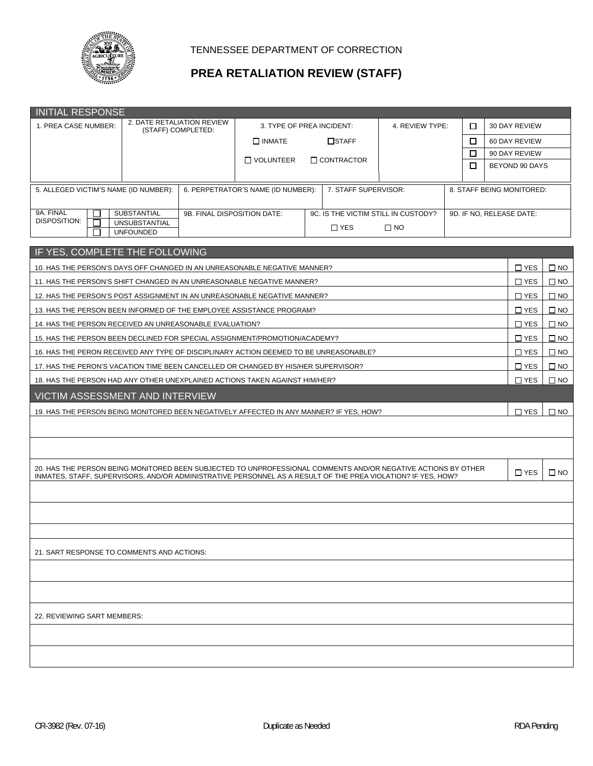

## **PREA RETALIATION REVIEW (STAFF)**

| <b>INITIAL RESPONSE</b>                                                                                                                                                                                                       |                                                                |                             |                                                                   |                                                            |  |   |                           |                          |              |  |  |
|-------------------------------------------------------------------------------------------------------------------------------------------------------------------------------------------------------------------------------|----------------------------------------------------------------|-----------------------------|-------------------------------------------------------------------|------------------------------------------------------------|--|---|---------------------------|--------------------------|--------------|--|--|
| 2. DATE RETALIATION REVIEW<br>1. PREA CASE NUMBER:<br>(STAFF) COMPLETED:                                                                                                                                                      |                                                                |                             | 3. TYPE OF PREA INCIDENT:                                         | 4. REVIEW TYPE:<br>□                                       |  |   | 30 DAY REVIEW             |                          |              |  |  |
|                                                                                                                                                                                                                               |                                                                |                             | $\Box$ INMATE<br>$\square$ STAFF                                  |                                                            |  |   |                           | 60 DAY REVIEW            |              |  |  |
|                                                                                                                                                                                                                               |                                                                |                             | □ VOLUNTEER                                                       | <b>CONTRACTOR</b>                                          |  | □ |                           | 90 DAY REVIEW            |              |  |  |
|                                                                                                                                                                                                                               |                                                                |                             |                                                                   |                                                            |  |   |                           | BEYOND 90 DAYS           |              |  |  |
| 5. ALLEGED VICTIM'S NAME (ID NUMBER):                                                                                                                                                                                         |                                                                |                             |                                                                   | 6. PERPETRATOR'S NAME (ID NUMBER):<br>7. STAFF SUPERVISOR: |  |   | 8. STAFF BEING MONITORED: |                          |              |  |  |
| 9A. FINAL<br><b>DISPOSITION:</b><br>П                                                                                                                                                                                         | <b>SUBSTANTIAL</b><br><b>UNSUBSTANTIAL</b><br><b>UNFOUNDED</b> | 9B. FINAL DISPOSITION DATE: | 9C. IS THE VICTIM STILL IN CUSTODY?<br>$\Box$ YES<br>$\square$ NO |                                                            |  |   |                           | 9D. IF NO, RELEASE DATE: |              |  |  |
|                                                                                                                                                                                                                               |                                                                |                             |                                                                   |                                                            |  |   |                           |                          |              |  |  |
| IF YES, COMPLETE THE FOLLOWING                                                                                                                                                                                                |                                                                |                             |                                                                   |                                                            |  |   |                           |                          |              |  |  |
| 10. HAS THE PERSON'S DAYS OFF CHANGED IN AN UNREASONABLE NEGATIVE MANNER?                                                                                                                                                     |                                                                |                             |                                                                   |                                                            |  |   |                           | $\Box$ YES               | $\square$ NO |  |  |
| 11. HAS THE PERSON'S SHIFT CHANGED IN AN UNREASONABLE NEGATIVE MANNER?                                                                                                                                                        |                                                                |                             |                                                                   |                                                            |  |   |                           | $\Box$ YES               | $\square$ NO |  |  |
| 12. HAS THE PERSON'S POST ASSIGNMENT IN AN UNREASONABLE NEGATIVE MANNER?                                                                                                                                                      |                                                                |                             |                                                                   |                                                            |  |   |                           | $\square$ YES            | $\Box$ NO    |  |  |
| 13. HAS THE PERSON BEEN INFORMED OF THE EMPLOYEE ASSISTANCE PROGRAM?                                                                                                                                                          |                                                                |                             |                                                                   |                                                            |  |   |                           | $\Box$ YES               | $\square$ NO |  |  |
| 14. HAS THE PERSON RECEIVED AN UNREASONABLE EVALUATION?                                                                                                                                                                       |                                                                |                             |                                                                   |                                                            |  |   |                           | $\Box$ YES               | $\square$ NO |  |  |
| 15. HAS THE PERSON BEEN DECLINED FOR SPECIAL ASSIGNMENT/PROMOTION/ACADEMY?                                                                                                                                                    |                                                                |                             |                                                                   |                                                            |  |   |                           | $\Box$ YES               | $\square$ NO |  |  |
| 16. HAS THE PERON RECEIVED ANY TYPE OF DISCIPLINARY ACTION DEEMED TO BE UNREASONABLE?                                                                                                                                         |                                                                |                             |                                                                   |                                                            |  |   |                           | $\Box$ YES               | $\square$ NO |  |  |
| 17. HAS THE PERON'S VACATION TIME BEEN CANCELLED OR CHANGED BY HIS/HER SUPERVISOR?                                                                                                                                            |                                                                |                             |                                                                   |                                                            |  |   |                           | $\Box$ YES               | $\square$ NO |  |  |
| 18. HAS THE PERSON HAD ANY OTHER UNEXPLAINED ACTIONS TAKEN AGAINST HIM/HER?                                                                                                                                                   |                                                                |                             |                                                                   |                                                            |  |   |                           | $\square$ YES            | $\square$ NO |  |  |
| <b>VICTIM ASSESSMENT AND INTERVIEW</b>                                                                                                                                                                                        |                                                                |                             |                                                                   |                                                            |  |   |                           |                          |              |  |  |
| 19. HAS THE PERSON BEING MONITORED BEEN NEGATIVELY AFFECTED IN ANY MANNER? IF YES, HOW?                                                                                                                                       |                                                                |                             |                                                                   |                                                            |  |   |                           | $\Box$ YES               | $\square$ NO |  |  |
|                                                                                                                                                                                                                               |                                                                |                             |                                                                   |                                                            |  |   |                           |                          |              |  |  |
|                                                                                                                                                                                                                               |                                                                |                             |                                                                   |                                                            |  |   |                           |                          |              |  |  |
| 20. HAS THE PERSON BEING MONITORED BEEN SUBJECTED TO UNPROFESSIONAL COMMENTS AND/OR NEGATIVE ACTIONS BY OTHER<br>INMATES, STAFF, SUPERVISORS, AND/OR ADMINISTRATIVE PERSONNEL AS A RESULT OF THE PREA VIOLATION? IF YES, HOW? |                                                                |                             |                                                                   |                                                            |  |   |                           | $\Box$ YES               | $\square$ NO |  |  |
|                                                                                                                                                                                                                               |                                                                |                             |                                                                   |                                                            |  |   |                           |                          |              |  |  |
|                                                                                                                                                                                                                               |                                                                |                             |                                                                   |                                                            |  |   |                           |                          |              |  |  |
|                                                                                                                                                                                                                               |                                                                |                             |                                                                   |                                                            |  |   |                           |                          |              |  |  |
| 21. SART RESPONSE TO COMMENTS AND ACTIONS:                                                                                                                                                                                    |                                                                |                             |                                                                   |                                                            |  |   |                           |                          |              |  |  |
|                                                                                                                                                                                                                               |                                                                |                             |                                                                   |                                                            |  |   |                           |                          |              |  |  |
|                                                                                                                                                                                                                               |                                                                |                             |                                                                   |                                                            |  |   |                           |                          |              |  |  |
| 22. REVIEWING SART MEMBERS:                                                                                                                                                                                                   |                                                                |                             |                                                                   |                                                            |  |   |                           |                          |              |  |  |
|                                                                                                                                                                                                                               |                                                                |                             |                                                                   |                                                            |  |   |                           |                          |              |  |  |
|                                                                                                                                                                                                                               |                                                                |                             |                                                                   |                                                            |  |   |                           |                          |              |  |  |